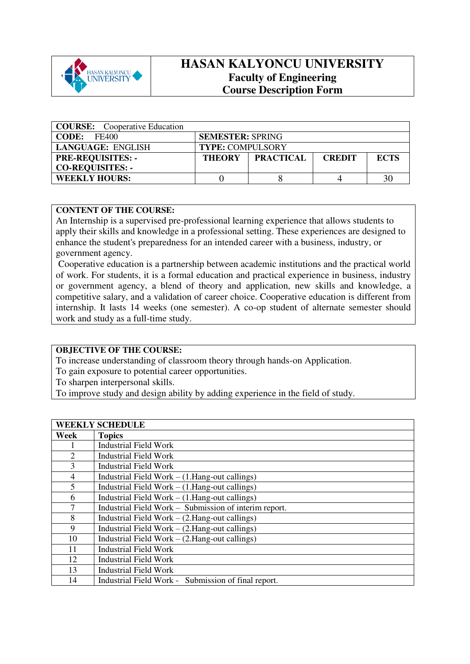

## **HASAN KALYONCU UNIVERSITY Faculty of Engineering Course Description Form**

| <b>COURSE:</b> Cooperative Education |                         |                           |               |             |
|--------------------------------------|-------------------------|---------------------------|---------------|-------------|
| <b>CODE:</b><br>FE400                | <b>SEMESTER: SPRING</b> |                           |               |             |
| LANGUAGE: ENGLISH                    | <b>TYPE: COMPULSORY</b> |                           |               |             |
| <b>PRE-REQUISITES: -</b>             |                         | <b>THEORY   PRACTICAL</b> | <b>CREDIT</b> | <b>ECTS</b> |
| <b>CO-REQUISITES: -</b>              |                         |                           |               |             |
| <b>WEEKLY HOURS:</b>                 |                         |                           |               | 30          |

### **CONTENT OF THE COURSE:**

An Internship is a supervised pre-professional learning experience that allows students to apply their skills and knowledge in a professional setting. These experiences are designed to enhance the student's preparedness for an intended career with a business, industry, or government agency.

 Cooperative education is a partnership between academic institutions and the practical world of work. For students, it is a formal education and practical experience in business, industry or government agency, a blend of theory and application, new skills and knowledge, a competitive salary, and a validation of career choice. Cooperative education is different from internship. It lasts 14 weeks (one semester). A co-op student of alternate semester should work and study as a full-time study.

## **OBJECTIVE OF THE COURSE:**

To increase understanding of classroom theory through hands-on Application.

To gain exposure to potential career opportunities.

To sharpen interpersonal skills.

To improve study and design ability by adding experience in the field of study.

| <b>WEEKLY SCHEDULE</b> |                                                        |  |  |  |  |
|------------------------|--------------------------------------------------------|--|--|--|--|
| Week                   | <b>Topics</b>                                          |  |  |  |  |
|                        | <b>Industrial Field Work</b>                           |  |  |  |  |
| $\overline{2}$         | <b>Industrial Field Work</b>                           |  |  |  |  |
| 3                      | <b>Industrial Field Work</b>                           |  |  |  |  |
| 4                      | Industrial Field Work $-$ (1. Hang-out callings)       |  |  |  |  |
| 5                      | Industrial Field Work $-$ (1. Hang-out callings)       |  |  |  |  |
| 6                      | Industrial Field Work $-$ (1. Hang-out callings)       |  |  |  |  |
| 7                      | Industrial Field Work - Submission of interim report.  |  |  |  |  |
| 8                      | Industrial Field Work $-$ (2. Hang-out callings)       |  |  |  |  |
| 9                      | Industrial Field Work $-$ (2.Hang-out callings)        |  |  |  |  |
| 10                     | Industrial Field Work $-$ (2. Hang-out callings)       |  |  |  |  |
| 11                     | <b>Industrial Field Work</b>                           |  |  |  |  |
| 12                     | <b>Industrial Field Work</b>                           |  |  |  |  |
| 13                     | <b>Industrial Field Work</b>                           |  |  |  |  |
| 14                     | Submission of final report.<br>Industrial Field Work - |  |  |  |  |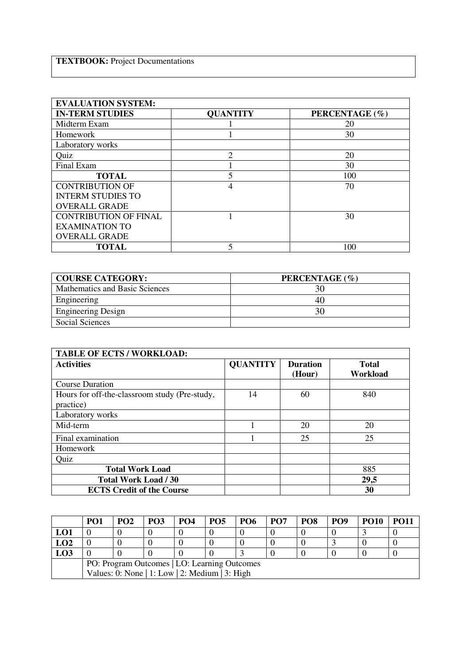| <b>EVALUATION SYSTEM:</b>    |                 |                |  |  |  |  |
|------------------------------|-----------------|----------------|--|--|--|--|
| <b>IN-TERM STUDIES</b>       | <b>QUANTITY</b> | PERCENTAGE (%) |  |  |  |  |
| Midterm Exam                 |                 | 20             |  |  |  |  |
| <b>Homework</b>              |                 | 30             |  |  |  |  |
| Laboratory works             |                 |                |  |  |  |  |
| Quiz                         | $\overline{2}$  | 20             |  |  |  |  |
| Final Exam                   |                 | 30             |  |  |  |  |
| <b>TOTAL</b>                 |                 | 100            |  |  |  |  |
| <b>CONTRIBUTION OF</b>       | 4               | 70             |  |  |  |  |
| <b>INTERM STUDIES TO</b>     |                 |                |  |  |  |  |
| <b>OVERALL GRADE</b>         |                 |                |  |  |  |  |
| <b>CONTRIBUTION OF FINAL</b> |                 | 30             |  |  |  |  |
| <b>EXAMINATION TO</b>        |                 |                |  |  |  |  |
| <b>OVERALL GRADE</b>         |                 |                |  |  |  |  |
| <b>TOTAL</b>                 |                 | 100            |  |  |  |  |

| <b>COURSE CATEGORY:</b>        | PERCENTAGE (%) |
|--------------------------------|----------------|
| Mathematics and Basic Sciences |                |
| Engineering                    | 40             |
| <b>Engineering Design</b>      | 30             |
| Social Sciences                |                |

| <b>TABLE OF ECTS / WORKLOAD:</b>                           |                 |                           |                          |  |  |  |
|------------------------------------------------------------|-----------------|---------------------------|--------------------------|--|--|--|
| <b>Activities</b>                                          | <b>QUANTITY</b> | <b>Duration</b><br>(Hour) | <b>Total</b><br>Workload |  |  |  |
| <b>Course Duration</b>                                     |                 |                           |                          |  |  |  |
| Hours for off-the-classroom study (Pre-study,<br>practice) | 14              | 60                        | 840                      |  |  |  |
| Laboratory works                                           |                 |                           |                          |  |  |  |
| Mid-term                                                   |                 | 20                        | 20                       |  |  |  |
| Final examination                                          |                 | 25                        | 25                       |  |  |  |
| Homework                                                   |                 |                           |                          |  |  |  |
| Quiz                                                       |                 |                           |                          |  |  |  |
| <b>Total Work Load</b>                                     |                 |                           | 885                      |  |  |  |
| <b>Total Work Load / 30</b>                                |                 |                           | 29,5                     |  |  |  |
| <b>ECTS Credit of the Course</b>                           |                 |                           | 30                       |  |  |  |

|                                              | PO <sub>1</sub>                                | PO <sub>2</sub> | <b>PO3</b> | PO <sub>4</sub> | PO <sub>5</sub> | <b>PO6</b> | PO <sub>7</sub> | PO <sub>8</sub> | PO <sub>9</sub> | <b>PO10</b> | <b>PO11</b> |
|----------------------------------------------|------------------------------------------------|-----------------|------------|-----------------|-----------------|------------|-----------------|-----------------|-----------------|-------------|-------------|
| LO1                                          |                                                |                 |            |                 |                 |            |                 |                 |                 |             |             |
| LO2                                          |                                                |                 |            |                 |                 |            |                 |                 |                 |             |             |
| LO3                                          |                                                |                 |            |                 |                 |            |                 |                 |                 |             |             |
| PO: Program Outcomes   LO: Learning Outcomes |                                                |                 |            |                 |                 |            |                 |                 |                 |             |             |
|                                              | Values: 0: None   1: Low   2: Medium   3: High |                 |            |                 |                 |            |                 |                 |                 |             |             |